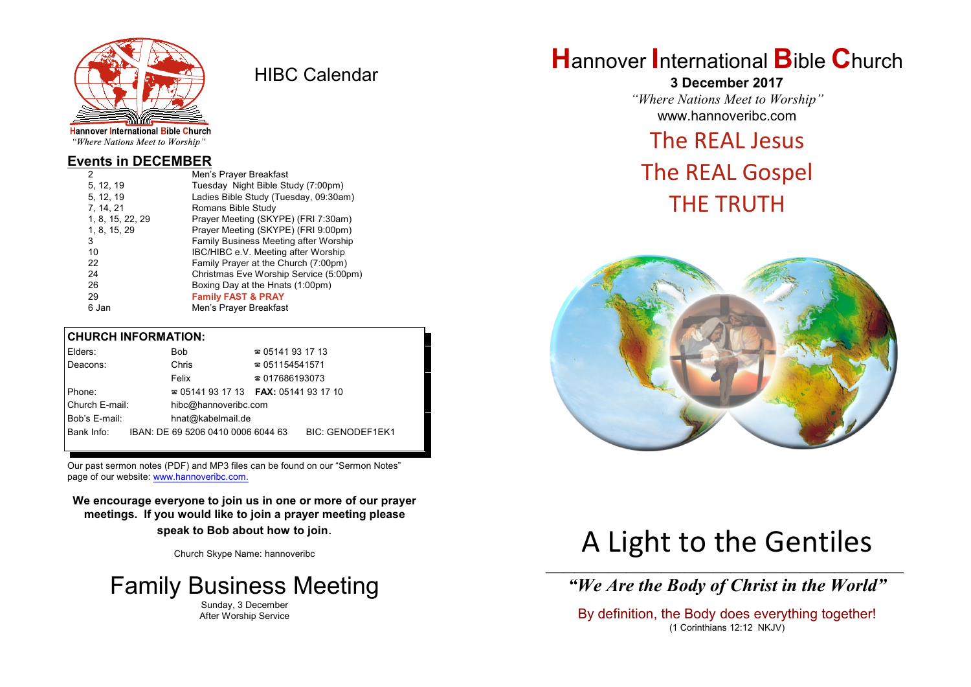

HIBC Calendar

"Where Nations Meet to Worship"

#### **Events in DECEMBER**

| 2                | Men's Prayer Breakfast                 |
|------------------|----------------------------------------|
| 5, 12, 19        | Tuesday Night Bible Study (7:00pm)     |
| 5, 12, 19        | Ladies Bible Study (Tuesday, 09:30am)  |
| 7, 14, 21        | Romans Bible Study                     |
| 1, 8, 15, 22, 29 | Prayer Meeting (SKYPE) (FRI 7:30am)    |
| 1, 8, 15, 29     | Prayer Meeting (SKYPE) (FRI 9:00pm)    |
| 3                | Family Business Meeting after Worship  |
| 10               | IBC/HIBC e.V. Meeting after Worship    |
| 22               | Family Prayer at the Church (7:00pm)   |
| 24               | Christmas Eve Worship Service (5:00pm) |
| 26               | Boxing Day at the Hnats (1:00pm)       |
| 29               | <b>Family FAST &amp; PRAY</b>          |
| 6 Jan            | Men's Prayer Breakfast                 |
|                  |                                        |

#### **CHURCH INFORMATION:**

| Elders:        | Bob                                           | $\approx 05141931713$  |                         |
|----------------|-----------------------------------------------|------------------------|-------------------------|
| Deacons:       | Chris                                         | $\approx 051154541571$ |                         |
|                | Felix                                         | $\approx 017686193073$ |                         |
| Phone:         | $\approx 05141931713$ FAX: 0514193 17 10      |                        |                         |
| Church E-mail: | hibc@hannoveribc.com                          |                        |                         |
| Bob's E-mail:  | hnat@kabelmail.de                             |                        |                         |
|                | Bank Info: IBAN: DE 69 5206 0410 0006 6044 63 |                        | <b>BIC: GENODEF1EK1</b> |
|                |                                               |                        |                         |

Our past sermon notes (PDF) and MP3 files can be found on our "Sermon Notes" page of our website: [www.hannoveribc.com.](http://www.hannoveribc.com.)

**We encourage everyone to join us in one or more of our prayer meetings. If you would like to join a prayer meeting please speak to Bob about how to join**.

Church Skype Name: hannoveribc



**H**annover **I**nternational **B**ible **C**hurch

**3 December 2017** *"Where Nations Meet to Worship"* www.hannoveribc.com

# The REAL Jesus

# The REAL Gospel THE TRUTH



# A Light to the Gentiles

#### \_\_\_\_\_\_\_\_\_\_\_\_\_\_\_\_\_\_\_\_\_\_\_\_\_\_\_\_\_\_\_\_\_\_\_\_\_\_\_\_\_\_\_\_\_\_\_\_\_\_\_\_\_\_\_\_\_\_\_\_\_\_ *"We Are the Body of Christ in the World"*

By definition, the Body does everything together! (1 Corinthians 12:12 NKJV)